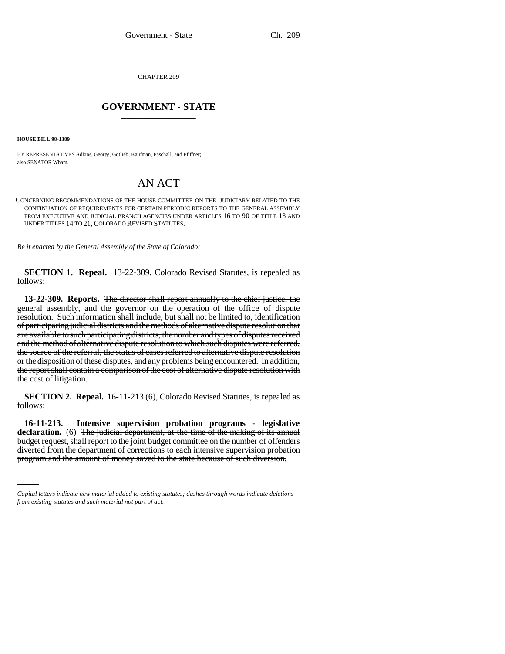CHAPTER 209 \_\_\_\_\_\_\_\_\_\_\_\_\_\_\_

## **GOVERNMENT - STATE** \_\_\_\_\_\_\_\_\_\_\_\_\_\_\_

**HOUSE BILL 98-1389**

BY REPRESENTATIVES Adkins, George, Gotlieb, Kaufman, Paschall, and Pfiffner; also SENATOR Wham.

## AN ACT

CONCERNING RECOMMENDATIONS OF THE HOUSE COMMITTEE ON THE JUDICIARY RELATED TO THE CONTINUATION OF REQUIREMENTS FOR CERTAIN PERIODIC REPORTS TO THE GENERAL ASSEMBLY FROM EXECUTIVE AND JUDICIAL BRANCH AGENCIES UNDER ARTICLES 16 TO 90 OF TITLE 13 AND UNDER TITLES 14 TO 21, COLORADO REVISED STATUTES.

*Be it enacted by the General Assembly of the State of Colorado:*

**SECTION 1. Repeal.** 13-22-309, Colorado Revised Statutes, is repealed as follows:

**13-22-309. Reports.** The director shall report annually to the chief justice, the general assembly, and the governor on the operation of the office of dispute resolution. Such information shall include, but shall not be limited to, identification of participating judicial districts and the methods of alternative dispute resolution that are available to such participating districts, the number and types of disputes received and the method of alternative dispute resolution to which such disputes were referred, the source of the referral, the status of cases referred to alternative dispute resolution or the disposition of these disputes, and any problems being encountered. In addition, the report shall contain a comparison of the cost of alternative dispute resolution with the cost of litigation.

**SECTION 2. Repeal.** 16-11-213 (6), Colorado Revised Statutes, is repealed as follows:

budget request, shall report to the joint budget committee on the number of offenders **16-11-213. Intensive supervision probation programs - legislative** declaration. (6) The judicial department, at the time of the making of its annual diverted from the department of corrections to each intensive supervision probation program and the amount of money saved to the state because of such diversion.

*Capital letters indicate new material added to existing statutes; dashes through words indicate deletions from existing statutes and such material not part of act.*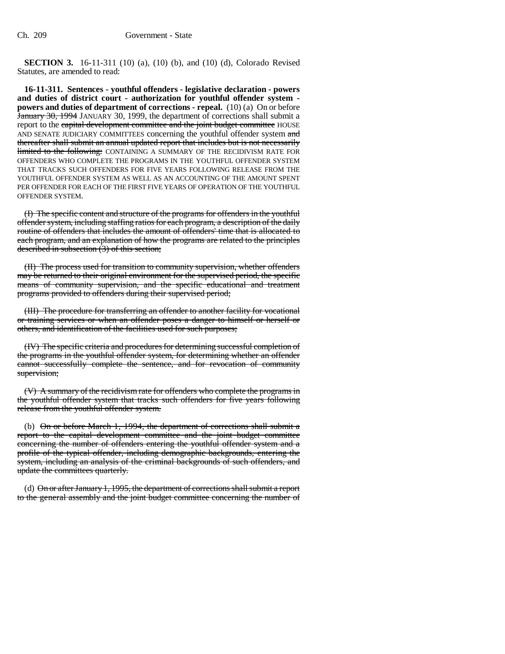**SECTION 3.** 16-11-311 (10) (a), (10) (b), and (10) (d), Colorado Revised Statutes, are amended to read:

**16-11-311. Sentences - youthful offenders - legislative declaration - powers and duties of district court - authorization for youthful offender system powers and duties of department of corrections - repeal.** (10) (a) On or before January 30, 1994 JANUARY 30, 1999, the department of corrections shall submit a report to the capital development committee and the joint budget committee HOUSE AND SENATE JUDICIARY COMMITTEES concerning the youthful offender system and thereafter shall submit an annual updated report that includes but is not necessarily limited to the following: CONTAINING A SUMMARY OF THE RECIDIVISM RATE FOR OFFENDERS WHO COMPLETE THE PROGRAMS IN THE YOUTHFUL OFFENDER SYSTEM THAT TRACKS SUCH OFFENDERS FOR FIVE YEARS FOLLOWING RELEASE FROM THE YOUTHFUL OFFENDER SYSTEM AS WELL AS AN ACCOUNTING OF THE AMOUNT SPENT PER OFFENDER FOR EACH OF THE FIRST FIVE YEARS OF OPERATION OF THE YOUTHFUL OFFENDER SYSTEM.

(I) The specific content and structure of the programs for offenders in the youthful offender system, including staffing ratios for each program, a description of the daily routine of offenders that includes the amount of offenders' time that is allocated to each program, and an explanation of how the programs are related to the principles described in subsection  $(3)$  of this section;

(II) The process used for transition to community supervision, whether offenders may be returned to their original environment for the supervised period, the specific means of community supervision, and the specific educational and treatment programs provided to offenders during their supervised period;

(III) The procedure for transferring an offender to another facility for vocational or training services or when an offender poses a danger to himself or herself or others, and identification of the facilities used for such purposes;

(IV) The specific criteria and procedures for determining successful completion of the programs in the youthful offender system, for determining whether an offender cannot successfully complete the sentence, and for revocation of community supervision;

(V) A summary of the recidivism rate for offenders who complete the programs in the youthful offender system that tracks such offenders for five years following release from the youthful offender system.

(b) On or before March 1, 1994, the department of corrections shall submit a report to the capital development committee and the joint budget committee concerning the number of offenders entering the youthful offender system and a profile of the typical offender, including demographic backgrounds, entering the system, including an analysis of the criminal backgrounds of such offenders, and update the committees quarterly.

(d) On or after January 1, 1995, the department of corrections shall submit a report to the general assembly and the joint budget committee concerning the number of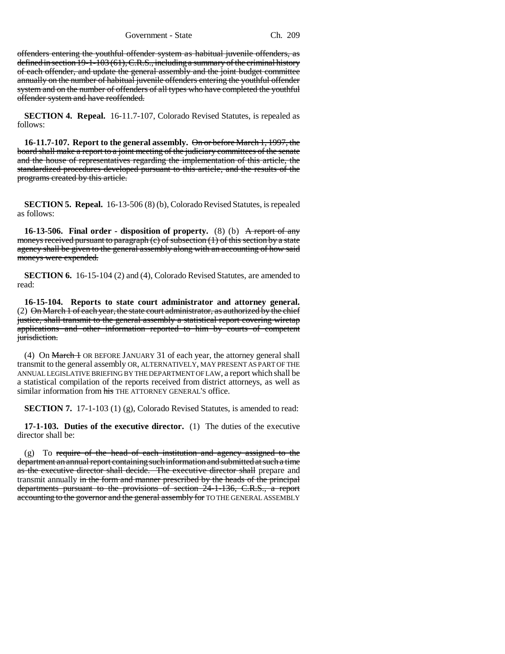Government - State Ch. 209

offenders entering the youthful offender system as habitual juvenile offenders, as defined in section 19-1-103 (61), C.R.S., including a summary of the criminal history of each offender, and update the general assembly and the joint budget committee annually on the number of habitual juvenile offenders entering the youthful offender system and on the number of offenders of all types who have completed the youthful offender system and have reoffended.

**SECTION 4. Repeal.** 16-11.7-107, Colorado Revised Statutes, is repealed as follows:

**16-11.7-107. Report to the general assembly.** On or before March 1, 1997, the board shall make a report to a joint meeting of the judiciary committees of the senate and the house of representatives regarding the implementation of this article, the standardized procedures developed pursuant to this article, and the results of the programs created by this article.

**SECTION 5. Repeal.** 16-13-506 (8) (b), Colorado Revised Statutes, is repealed as follows:

**16-13-506.** Final order - disposition of property. (8) (b) A report of any moneys received pursuant to paragraph (c) of subsection (1) of this section by a state agency shall be given to the general assembly along with an accounting of how said moneys were expended.

**SECTION 6.** 16-15-104 (2) and (4), Colorado Revised Statutes, are amended to read:

**16-15-104. Reports to state court administrator and attorney general.**  $(2)$  On March 1 of each year, the state court administrator, as authorized by the chief justice, shall transmit to the general assembly a statistical report covering wiretap applications and other information reported to him by courts of competent jurisdiction.

(4) On March 1 OR BEFORE JANUARY 31 of each year, the attorney general shall transmit to the general assembly OR, ALTERNATIVELY, MAY PRESENT AS PART OF THE ANNUAL LEGISLATIVE BRIEFING BY THE DEPARTMENT OF LAW, a report which shall be a statistical compilation of the reports received from district attorneys, as well as similar information from his THE ATTORNEY GENERAL'S office.

**SECTION 7.** 17-1-103 (1) (g), Colorado Revised Statutes, is amended to read:

**17-1-103. Duties of the executive director.** (1) The duties of the executive director shall be:

 $(g)$  To require of the head of each institution and agency assigned to the department an annual report containing such information and submitted at such a time as the executive director shall decide. The executive director shall prepare and transmit annually in the form and manner prescribed by the heads of the principal departments pursuant to the provisions of section 24-1-136, C.R.S., a report accounting to the governor and the general assembly for TO THE GENERAL ASSEMBLY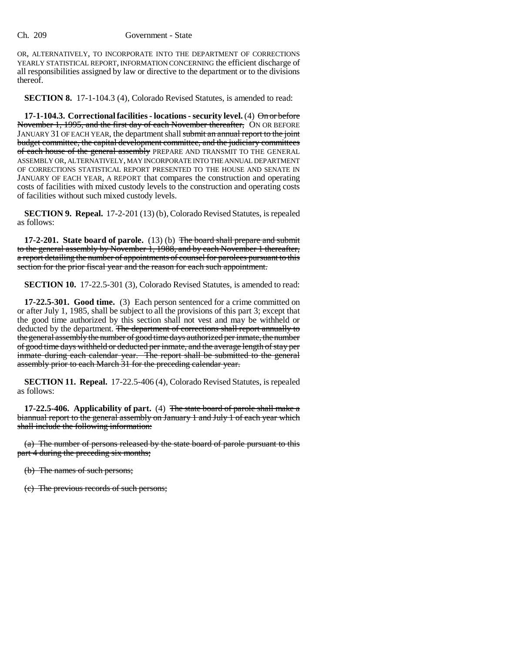OR, ALTERNATIVELY, TO INCORPORATE INTO THE DEPARTMENT OF CORRECTIONS YEARLY STATISTICAL REPORT, INFORMATION CONCERNING the efficient discharge of all responsibilities assigned by law or directive to the department or to the divisions thereof.

**SECTION 8.** 17-1-104.3 (4), Colorado Revised Statutes, is amended to read:

**17-1-104.3. Correctional facilities - locations - security level.** (4)  $\Theta$  nor before November 1, 1995, and the first day of each November thereafter, ON OR BEFORE JANUARY 31 OF EACH YEAR, the department shall submit an annual report to the joint budget committee, the capital development committee, and the judiciary committees of each house of the general assembly PREPARE AND TRANSMIT TO THE GENERAL ASSEMBLY OR, ALTERNATIVELY, MAY INCORPORATE INTO THE ANNUAL DEPARTMENT OF CORRECTIONS STATISTICAL REPORT PRESENTED TO THE HOUSE AND SENATE IN JANUARY OF EACH YEAR, A REPORT that compares the construction and operating costs of facilities with mixed custody levels to the construction and operating costs of facilities without such mixed custody levels.

**SECTION 9. Repeal.** 17-2-201 (13) (b), Colorado Revised Statutes, is repealed as follows:

**17-2-201. State board of parole.** (13) (b) The board shall prepare and submit to the general assembly by November 1, 1988, and by each November 1 thereafter, a report detailing the number of appointments of counsel for parolees pursuant to this section for the prior fiscal year and the reason for each such appointment.

**SECTION 10.** 17-22.5-301 (3), Colorado Revised Statutes, is amended to read:

**17-22.5-301. Good time.** (3) Each person sentenced for a crime committed on or after July 1, 1985, shall be subject to all the provisions of this part 3; except that the good time authorized by this section shall not vest and may be withheld or deducted by the department. The department of corrections shall report annually to the general assembly the number of good time days authorized per inmate, the number of good time days withheld or deducted per inmate, and the average length of stay per inmate during each calendar year. The report shall be submitted to the general assembly prior to each March 31 for the preceding calendar year.

**SECTION 11. Repeal.** 17-22.5-406 (4), Colorado Revised Statutes, is repealed as follows:

**17-22.5-406. Applicability of part.** (4) The state board of parole shall make a biannual report to the general assembly on January 1 and July 1 of each year which shall include the following information:

(a) The number of persons released by the state board of parole pursuant to this part 4 during the preceding six months;

(b) The names of such persons;

(c) The previous records of such persons;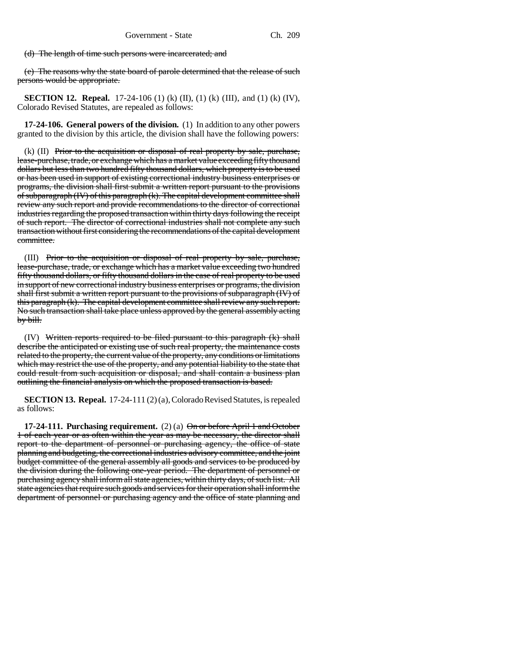(d) The length of time such persons were incarcerated; and

(e) The reasons why the state board of parole determined that the release of such persons would be appropriate.

**SECTION 12. Repeal.** 17-24-106 (1) (k) (II), (1) (k) (III), and (1) (k) (IV), Colorado Revised Statutes, are repealed as follows:

**17-24-106. General powers of the division.** (1) In addition to any other powers granted to the division by this article, the division shall have the following powers:

 $(k)$  (II) Prior to the acquisition or disposal of real property by sale, purchase, lease-purchase, trade, or exchange which has a market value exceeding fifty thousand dollars but less than two hundred fifty thousand dollars, which property is to be used or has been used in support of existing correctional industry business enterprises or programs, the division shall first submit a written report pursuant to the provisions of subparagraph (IV) of this paragraph (k). The capital development committee shall review any such report and provide recommendations to the director of correctional industries regarding the proposed transaction within thirty days following the receipt of such report. The director of correctional industries shall not complete any such transaction without first considering the recommendations of the capital development committee.

(III) Prior to the acquisition or disposal of real property by sale, purchase, lease-purchase, trade, or exchange which has a market value exceeding two hundred fifty thousand dollars, or fifty thousand dollars in the case of real property to be used in support of new correctional industry business enterprises or programs, the division shall first submit a written report pursuant to the provisions of subparagraph (IV) of this paragraph (k). The capital development committee shall review any such report. No such transaction shall take place unless approved by the general assembly acting by bill.

(IV) Written reports required to be filed pursuant to this paragraph (k) shall describe the anticipated or existing use of such real property, the maintenance costs related to the property, the current value of the property, any conditions or limitations which may restrict the use of the property, and any potential liability to the state that could result from such acquisition or disposal, and shall contain a business plan outlining the financial analysis on which the proposed transaction is based.

**SECTION 13. Repeal.** 17-24-111 (2) (a), Colorado Revised Statutes, is repealed as follows:

**17-24-111. Purchasing requirement.** (2) (a)  $\Theta$ <del>n or before April 1 and October</del> 1 of each year or as often within the year as may be necessary, the director shall report to the department of personnel or purchasing agency, the office of state planning and budgeting, the correctional industries advisory committee, and the joint budget committee of the general assembly all goods and services to be produced by the division during the following one-year period. The department of personnel or purchasing agency shall inform all state agencies, within thirty days, of such list. All state agencies that require such goods and services for their operation shall inform the department of personnel or purchasing agency and the office of state planning and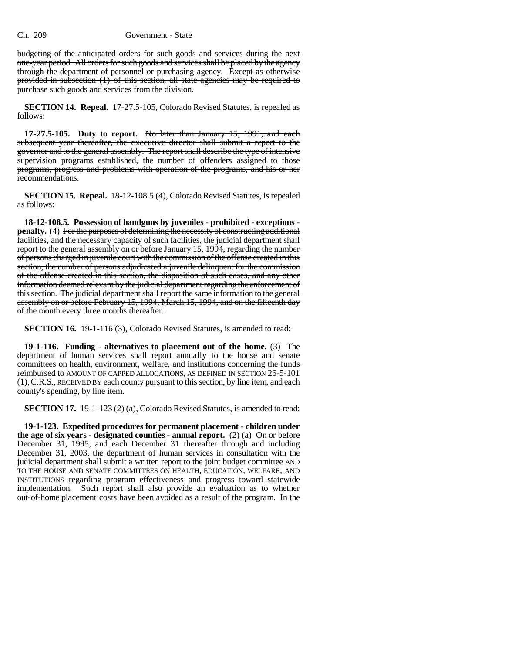budgeting of the anticipated orders for such goods and services during the next one-year period. All orders for such goods and services shall be placed by the agency through the department of personnel or purchasing agency. Except as otherwise provided in subsection (1) of this section, all state agencies may be required to purchase such goods and services from the division.

**SECTION 14. Repeal.** 17-27.5-105, Colorado Revised Statutes, is repealed as follows:

**17-27.5-105. Duty to report.** No later than January 15, 1991, and each subsequent year thereafter, the executive director shall submit a report to the governor and to the general assembly. The report shall describe the type of intensive supervision programs established, the number of offenders assigned to those programs, progress and problems with operation of the programs, and his or her recommendations.

**SECTION 15. Repeal.** 18-12-108.5 (4), Colorado Revised Statutes, is repealed as follows:

**18-12-108.5. Possession of handguns by juveniles - prohibited - exceptions**  penalty. (4) For the purposes of determining the necessity of constructing additional facilities, and the necessary capacity of such facilities, the judicial department shall report to the general assembly on or before January 15, 1994, regarding the number of persons charged in juvenile court with the commission of the offense created in this section, the number of persons adjudicated a juvenile delinquent for the commission of the offense created in this section, the disposition of such cases, and any other information deemed relevant by the judicial department regarding the enforcement of this section. The judicial department shall report the same information to the general assembly on or before February 15, 1994, March 15, 1994, and on the fifteenth day of the month every three months thereafter.

**SECTION 16.** 19-1-116 (3), Colorado Revised Statutes, is amended to read:

**19-1-116. Funding - alternatives to placement out of the home.** (3) The department of human services shall report annually to the house and senate committees on health, environment, welfare, and institutions concerning the funds reimbursed to AMOUNT OF CAPPED ALLOCATIONS, AS DEFINED IN SECTION 26-5-101 (1),C.R.S., RECEIVED BY each county pursuant to this section, by line item, and each county's spending, by line item.

**SECTION 17.** 19-1-123 (2) (a), Colorado Revised Statutes, is amended to read:

**19-1-123. Expedited procedures for permanent placement - children under the age of six years - designated counties - annual report.** (2) (a) On or before December 31, 1995, and each December 31 thereafter through and including December 31, 2003, the department of human services in consultation with the judicial department shall submit a written report to the joint budget committee AND TO THE HOUSE AND SENATE COMMITTEES ON HEALTH, EDUCATION, WELFARE, AND INSTITUTIONS regarding program effectiveness and progress toward statewide implementation. Such report shall also provide an evaluation as to whether out-of-home placement costs have been avoided as a result of the program. In the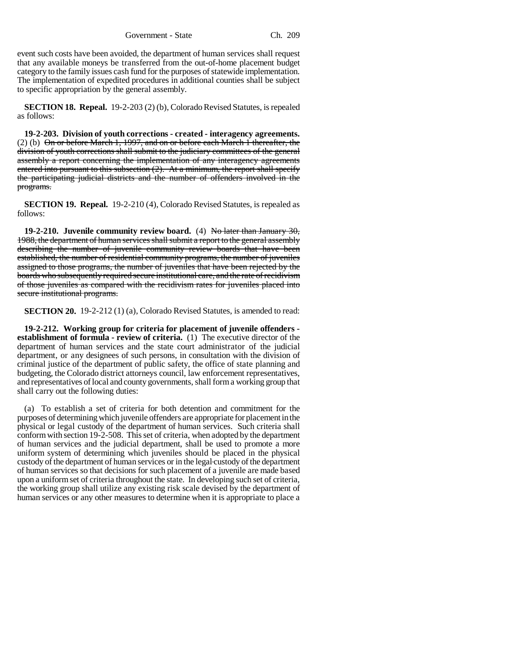Government - State Ch. 209

event such costs have been avoided, the department of human services shall request that any available moneys be transferred from the out-of-home placement budget category to the family issues cash fund for the purposes of statewide implementation. The implementation of expedited procedures in additional counties shall be subject to specific appropriation by the general assembly.

**SECTION 18. Repeal.** 19-2-203 (2) (b), Colorado Revised Statutes, is repealed as follows:

**19-2-203. Division of youth corrections - created - interagency agreements.** (2) (b) On or before March 1, 1997, and on or before each March 1 thereafter, the division of youth corrections shall submit to the judiciary committees of the general assembly a report concerning the implementation of any interagency agreements entered into pursuant to this subsection  $(2)$ . At a minimum, the report shall specify the participating judicial districts and the number of offenders involved in the programs.

**SECTION 19. Repeal.** 19-2-210 (4), Colorado Revised Statutes, is repealed as follows:

**19-2-210. Juvenile community review board.** (4) No later than January 30, 1988, the department of human services shall submit a report to the general assembly describing the number of juvenile community review boards that have been established, the number of residential community programs, the number of juveniles assigned to those programs, the number of juveniles that have been rejected by the boards who subsequently required secure institutional care, and the rate of recidivism of those juveniles as compared with the recidivism rates for juveniles placed into secure institutional programs.

**SECTION 20.** 19-2-212 (1) (a), Colorado Revised Statutes, is amended to read:

**19-2-212. Working group for criteria for placement of juvenile offenders establishment of formula - review of criteria.** (1) The executive director of the department of human services and the state court administrator of the judicial department, or any designees of such persons, in consultation with the division of criminal justice of the department of public safety, the office of state planning and budgeting, the Colorado district attorneys council, law enforcement representatives, and representatives of local and county governments, shall form a working group that shall carry out the following duties:

(a) To establish a set of criteria for both detention and commitment for the purposes of determining which juvenile offenders are appropriate for placement in the physical or legal custody of the department of human services. Such criteria shall conform with section 19-2-508. This set of criteria, when adopted by the department of human services and the judicial department, shall be used to promote a more uniform system of determining which juveniles should be placed in the physical custody of the department of human services or in the legal custody of the department of human services so that decisions for such placement of a juvenile are made based upon a uniform set of criteria throughout the state. In developing such set of criteria, the working group shall utilize any existing risk scale devised by the department of human services or any other measures to determine when it is appropriate to place a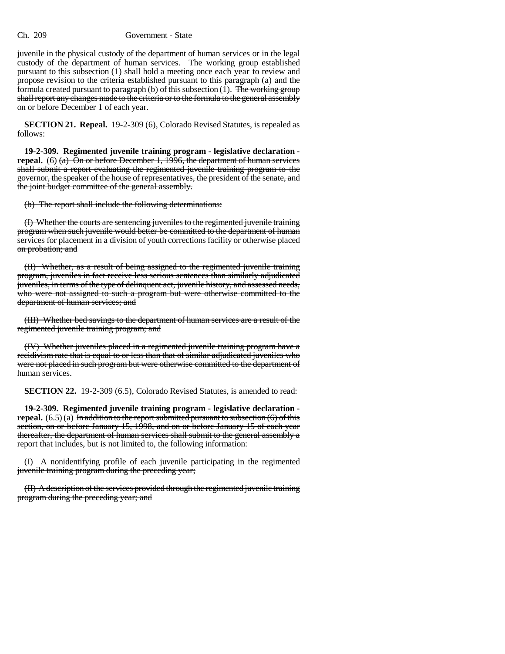juvenile in the physical custody of the department of human services or in the legal custody of the department of human services. The working group established pursuant to this subsection (1) shall hold a meeting once each year to review and propose revision to the criteria established pursuant to this paragraph (a) and the formula created pursuant to paragraph (b) of this subsection  $(1)$ . The working group shall report any changes made to the criteria or to the formula to the general assembly on or before December 1 of each year.

**SECTION 21. Repeal.** 19-2-309 (6), Colorado Revised Statutes, is repealed as follows:

**19-2-309. Regimented juvenile training program - legislative declaration repeal.** (6) (a) On or before December 1, 1996, the department of human services shall submit a report evaluating the regimented juvenile training program to the governor, the speaker of the house of representatives, the president of the senate, and the joint budget committee of the general assembly.

(b) The report shall include the following determinations:

(I) Whether the courts are sentencing juveniles to the regimented juvenile training program when such juvenile would better be committed to the department of human services for placement in a division of youth corrections facility or otherwise placed on probation; and

(II) Whether, as a result of being assigned to the regimented juvenile training program, juveniles in fact receive less serious sentences than similarly adjudicated juveniles, in terms of the type of delinquent act, juvenile history, and assessed needs, who were not assigned to such a program but were otherwise committed to the department of human services; and

(III) Whether bed savings to the department of human services are a result of the regimented juvenile training program; and

(IV) Whether juveniles placed in a regimented juvenile training program have a recidivism rate that is equal to or less than that of similar adjudicated juveniles who were not placed in such program but were otherwise committed to the department of human services.

**SECTION 22.** 19-2-309 (6.5), Colorado Revised Statutes, is amended to read:

**19-2-309. Regimented juvenile training program - legislative declaration repeal.**  $(6.5)(a)$  In addition to the report submitted pursuant to subsection  $(6)$  of this section, on or before January 15, 1998, and on or before January 15 of each year thereafter, the department of human services shall submit to the general assembly a report that includes, but is not limited to, the following information:

(I) A nonidentifying profile of each juvenile participating in the regimented juvenile training program during the preceding year;

(II) A description of the services provided through the regimented juvenile training program during the preceding year; and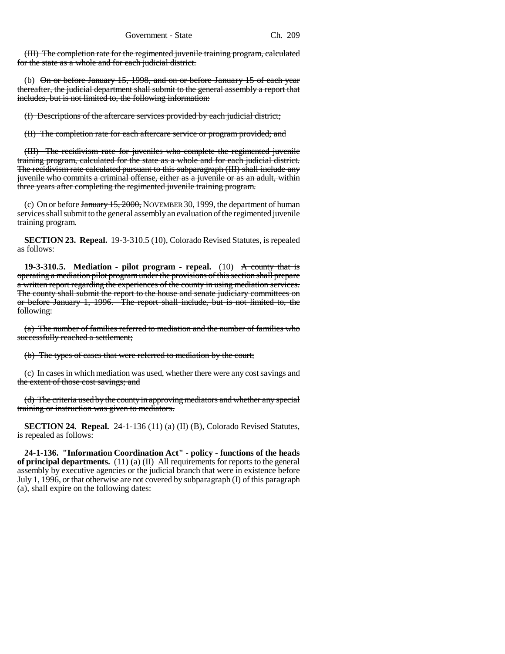(III) The completion rate for the regimented juvenile training program, calculated for the state as a whole and for each judicial district.

(b) On or before January 15, 1998, and on or before January 15 of each year thereafter, the judicial department shall submit to the general assembly a report that includes, but is not limited to, the following information:

(I) Descriptions of the aftercare services provided by each judicial district;

(II) The completion rate for each aftercare service or program provided; and

(III) The recidivism rate for juveniles who complete the regimented juvenile training program, calculated for the state as a whole and for each judicial district. The recidivism rate calculated pursuant to this subparagraph (III) shall include any juvenile who commits a criminal offense, either as a juvenile or as an adult, within three years after completing the regimented juvenile training program.

(c) On or before January 15, 2000, NOVEMBER 30, 1999, the department of human services shall submit to the general assembly an evaluation of the regimented juvenile training program.

**SECTION 23. Repeal.** 19-3-310.5 (10), Colorado Revised Statutes, is repealed as follows:

**19-3-310.5.** Mediation - pilot program - repeal. (10) A county that is operating a mediation pilot program under the provisions of this section shall prepare a written report regarding the experiences of the county in using mediation services. The county shall submit the report to the house and senate judiciary committees on or before January 1, 1996. The report shall include, but is not limited to, the following:

(a) The number of families referred to mediation and the number of families who successfully reached a settlement;

(b) The types of cases that were referred to mediation by the court;

(c) In cases in which mediation was used, whether there were any cost savings and the extent of those cost savings; and

(d) The criteria used by the county in approving mediators and whether any special training or instruction was given to mediators.

**SECTION 24. Repeal.** 24-1-136 (11) (a) (II) (B), Colorado Revised Statutes, is repealed as follows:

**24-1-136. "Information Coordination Act" - policy - functions of the heads of principal departments.** (11) (a) (II) All requirements for reports to the general assembly by executive agencies or the judicial branch that were in existence before July 1, 1996, or that otherwise are not covered by subparagraph (I) of this paragraph (a), shall expire on the following dates: